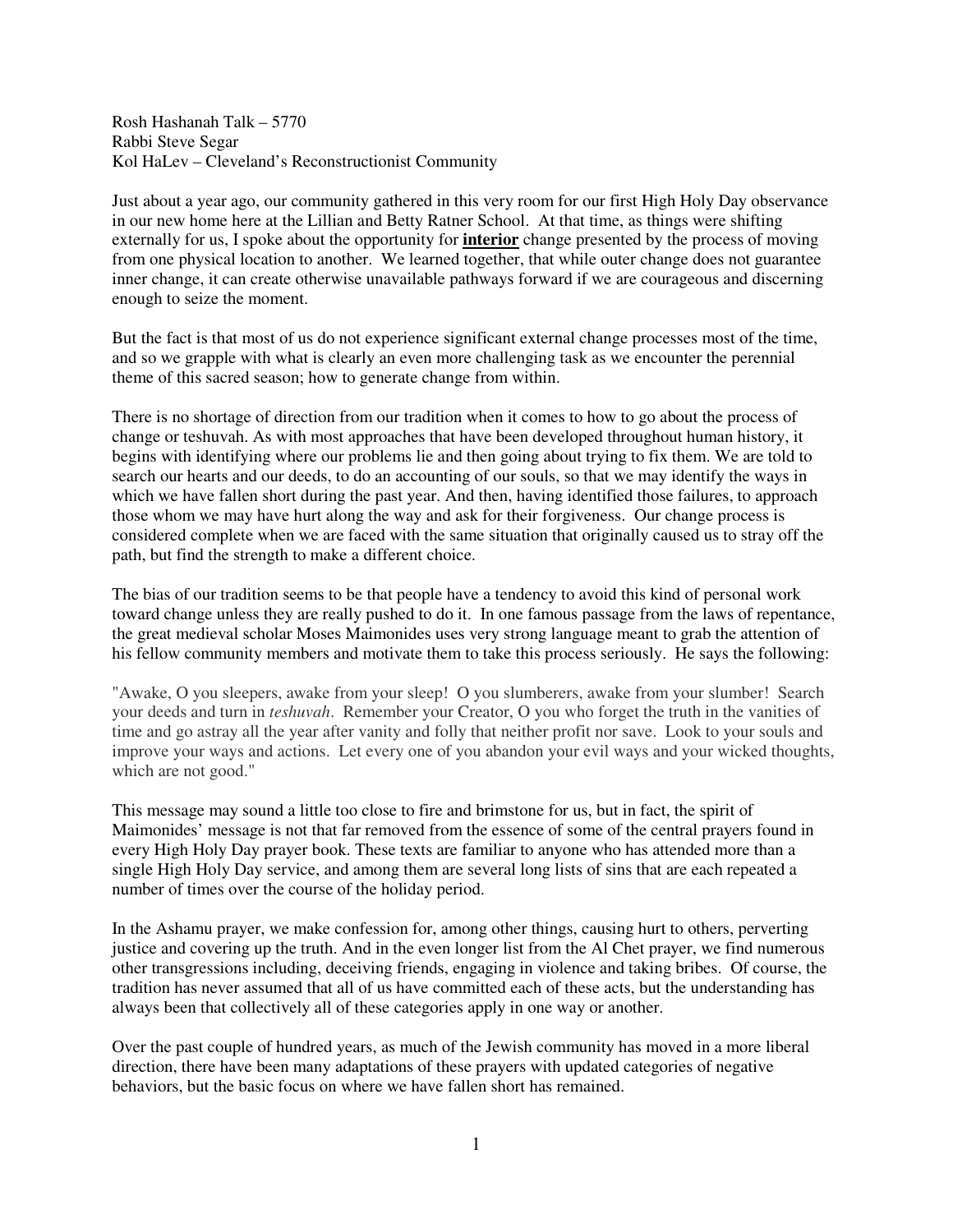Rosh Hashanah Talk – 5770 Rabbi Steve Segar Kol HaLev – Cleveland's Reconstructionist Community

Just about a year ago, our community gathered in this very room for our first High Holy Day observance in our new home here at the Lillian and Betty Ratner School. At that time, as things were shifting externally for us, I spoke about the opportunity for **interior** change presented by the process of moving from one physical location to another. We learned together, that while outer change does not guarantee inner change, it can create otherwise unavailable pathways forward if we are courageous and discerning enough to seize the moment.

But the fact is that most of us do not experience significant external change processes most of the time, and so we grapple with what is clearly an even more challenging task as we encounter the perennial theme of this sacred season; how to generate change from within.

There is no shortage of direction from our tradition when it comes to how to go about the process of change or teshuvah. As with most approaches that have been developed throughout human history, it begins with identifying where our problems lie and then going about trying to fix them. We are told to search our hearts and our deeds, to do an accounting of our souls, so that we may identify the ways in which we have fallen short during the past year. And then, having identified those failures, to approach those whom we may have hurt along the way and ask for their forgiveness. Our change process is considered complete when we are faced with the same situation that originally caused us to stray off the path, but find the strength to make a different choice.

The bias of our tradition seems to be that people have a tendency to avoid this kind of personal work toward change unless they are really pushed to do it. In one famous passage from the laws of repentance, the great medieval scholar Moses Maimonides uses very strong language meant to grab the attention of his fellow community members and motivate them to take this process seriously. He says the following:

"Awake, O you sleepers, awake from your sleep! O you slumberers, awake from your slumber! Search your deeds and turn in *teshuvah*. Remember your Creator, O you who forget the truth in the vanities of time and go astray all the year after vanity and folly that neither profit nor save. Look to your souls and improve your ways and actions. Let every one of you abandon your evil ways and your wicked thoughts, which are not good."

This message may sound a little too close to fire and brimstone for us, but in fact, the spirit of Maimonides' message is not that far removed from the essence of some of the central prayers found in every High Holy Day prayer book. These texts are familiar to anyone who has attended more than a single High Holy Day service, and among them are several long lists of sins that are each repeated a number of times over the course of the holiday period.

In the Ashamu prayer, we make confession for, among other things, causing hurt to others, perverting justice and covering up the truth. And in the even longer list from the Al Chet prayer, we find numerous other transgressions including, deceiving friends, engaging in violence and taking bribes. Of course, the tradition has never assumed that all of us have committed each of these acts, but the understanding has always been that collectively all of these categories apply in one way or another.

Over the past couple of hundred years, as much of the Jewish community has moved in a more liberal direction, there have been many adaptations of these prayers with updated categories of negative behaviors, but the basic focus on where we have fallen short has remained.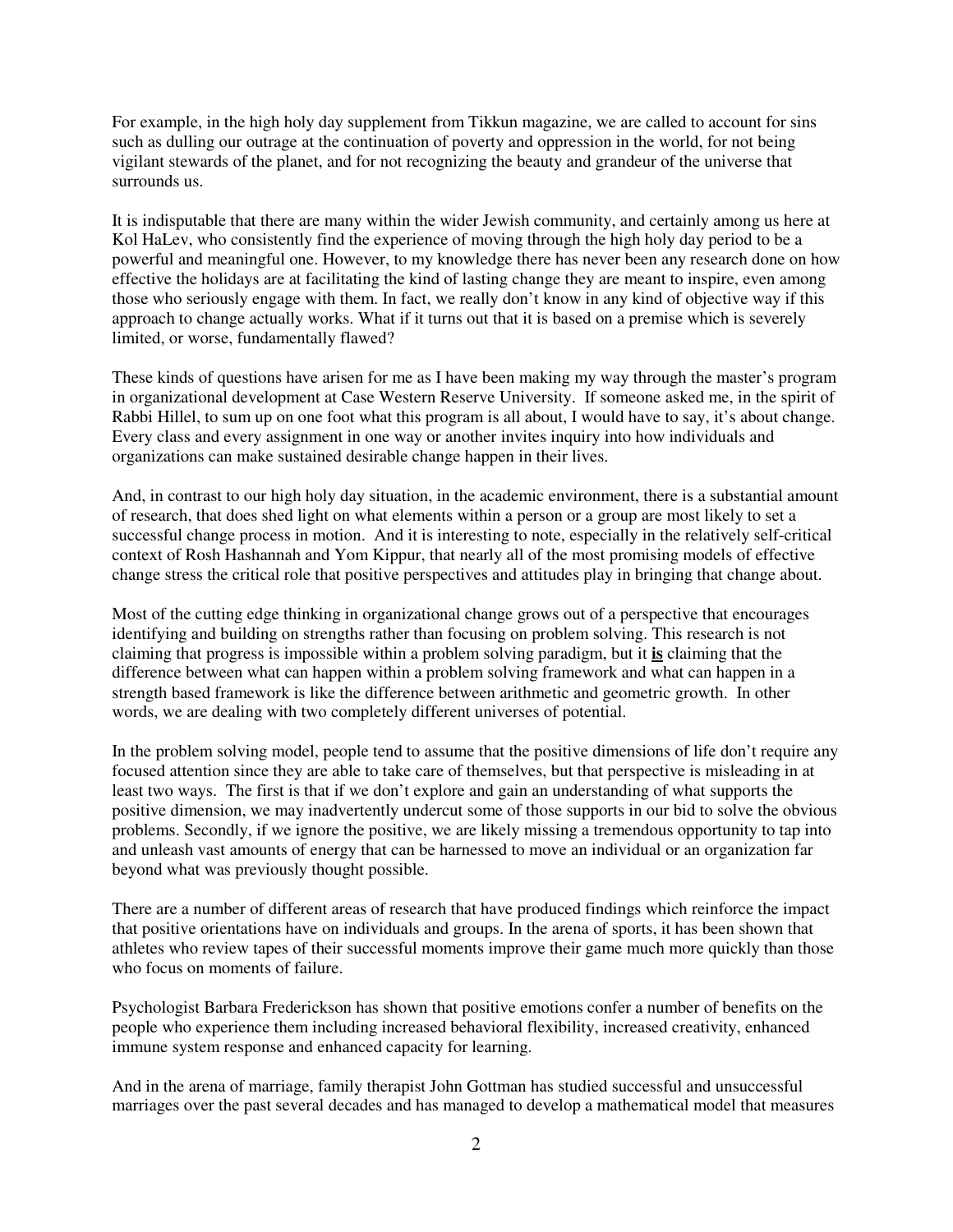For example, in the high holy day supplement from Tikkun magazine, we are called to account for sins such as dulling our outrage at the continuation of poverty and oppression in the world, for not being vigilant stewards of the planet, and for not recognizing the beauty and grandeur of the universe that surrounds us.

It is indisputable that there are many within the wider Jewish community, and certainly among us here at Kol HaLev, who consistently find the experience of moving through the high holy day period to be a powerful and meaningful one. However, to my knowledge there has never been any research done on how effective the holidays are at facilitating the kind of lasting change they are meant to inspire, even among those who seriously engage with them. In fact, we really don't know in any kind of objective way if this approach to change actually works. What if it turns out that it is based on a premise which is severely limited, or worse, fundamentally flawed?

These kinds of questions have arisen for me as I have been making my way through the master's program in organizational development at Case Western Reserve University. If someone asked me, in the spirit of Rabbi Hillel, to sum up on one foot what this program is all about, I would have to say, it's about change. Every class and every assignment in one way or another invites inquiry into how individuals and organizations can make sustained desirable change happen in their lives.

And, in contrast to our high holy day situation, in the academic environment, there is a substantial amount of research, that does shed light on what elements within a person or a group are most likely to set a successful change process in motion. And it is interesting to note, especially in the relatively self-critical context of Rosh Hashannah and Yom Kippur, that nearly all of the most promising models of effective change stress the critical role that positive perspectives and attitudes play in bringing that change about.

Most of the cutting edge thinking in organizational change grows out of a perspective that encourages identifying and building on strengths rather than focusing on problem solving. This research is not claiming that progress is impossible within a problem solving paradigm, but it **is** claiming that the difference between what can happen within a problem solving framework and what can happen in a strength based framework is like the difference between arithmetic and geometric growth. In other words, we are dealing with two completely different universes of potential.

In the problem solving model, people tend to assume that the positive dimensions of life don't require any focused attention since they are able to take care of themselves, but that perspective is misleading in at least two ways. The first is that if we don't explore and gain an understanding of what supports the positive dimension, we may inadvertently undercut some of those supports in our bid to solve the obvious problems. Secondly, if we ignore the positive, we are likely missing a tremendous opportunity to tap into and unleash vast amounts of energy that can be harnessed to move an individual or an organization far beyond what was previously thought possible.

There are a number of different areas of research that have produced findings which reinforce the impact that positive orientations have on individuals and groups. In the arena of sports, it has been shown that athletes who review tapes of their successful moments improve their game much more quickly than those who focus on moments of failure.

Psychologist Barbara Frederickson has shown that positive emotions confer a number of benefits on the people who experience them including increased behavioral flexibility, increased creativity, enhanced immune system response and enhanced capacity for learning.

And in the arena of marriage, family therapist John Gottman has studied successful and unsuccessful marriages over the past several decades and has managed to develop a mathematical model that measures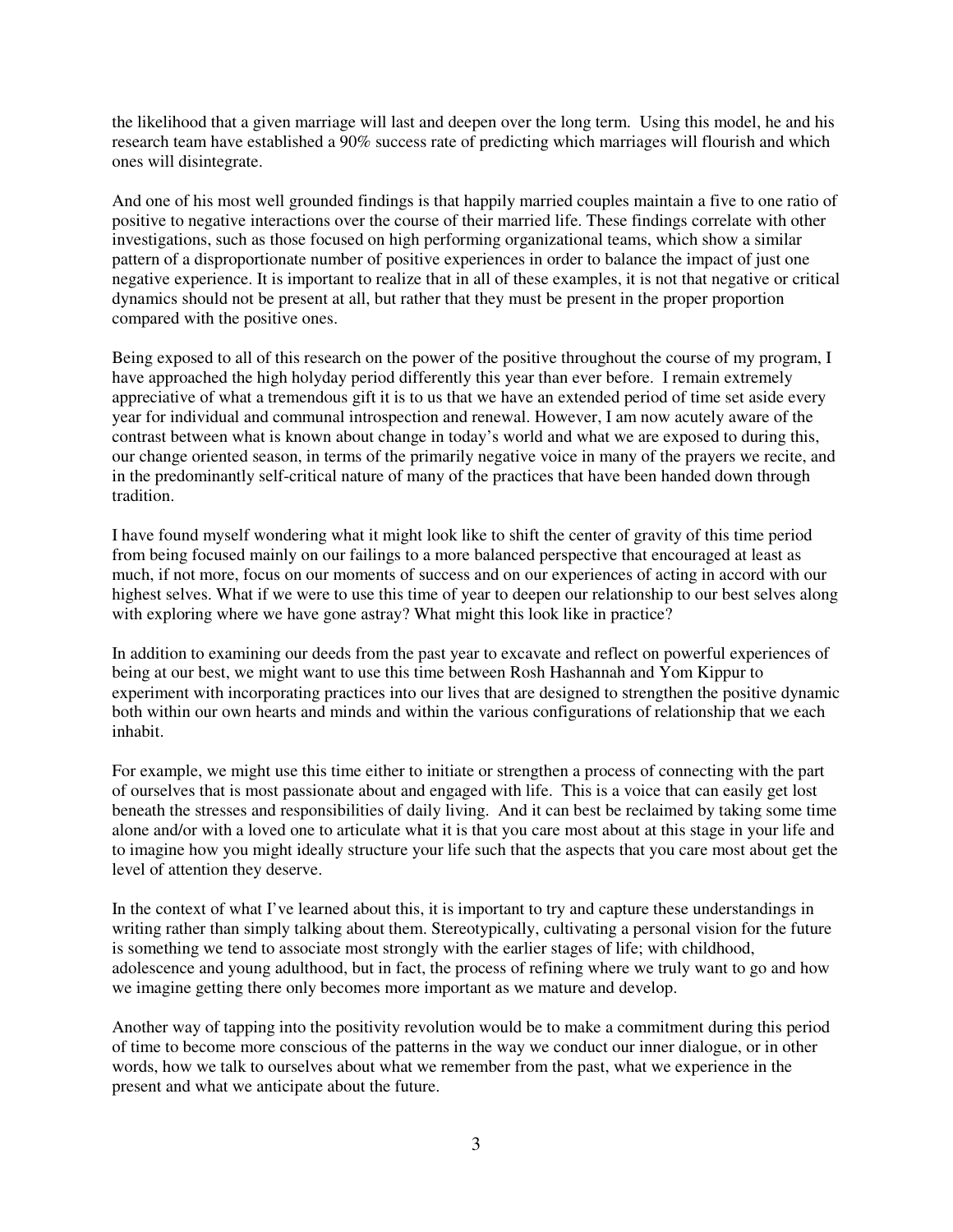the likelihood that a given marriage will last and deepen over the long term. Using this model, he and his research team have established a 90% success rate of predicting which marriages will flourish and which ones will disintegrate.

And one of his most well grounded findings is that happily married couples maintain a five to one ratio of positive to negative interactions over the course of their married life. These findings correlate with other investigations, such as those focused on high performing organizational teams, which show a similar pattern of a disproportionate number of positive experiences in order to balance the impact of just one negative experience. It is important to realize that in all of these examples, it is not that negative or critical dynamics should not be present at all, but rather that they must be present in the proper proportion compared with the positive ones.

Being exposed to all of this research on the power of the positive throughout the course of my program, I have approached the high holyday period differently this year than ever before. I remain extremely appreciative of what a tremendous gift it is to us that we have an extended period of time set aside every year for individual and communal introspection and renewal. However, I am now acutely aware of the contrast between what is known about change in today's world and what we are exposed to during this, our change oriented season, in terms of the primarily negative voice in many of the prayers we recite, and in the predominantly self-critical nature of many of the practices that have been handed down through tradition.

I have found myself wondering what it might look like to shift the center of gravity of this time period from being focused mainly on our failings to a more balanced perspective that encouraged at least as much, if not more, focus on our moments of success and on our experiences of acting in accord with our highest selves. What if we were to use this time of year to deepen our relationship to our best selves along with exploring where we have gone astray? What might this look like in practice?

In addition to examining our deeds from the past year to excavate and reflect on powerful experiences of being at our best, we might want to use this time between Rosh Hashannah and Yom Kippur to experiment with incorporating practices into our lives that are designed to strengthen the positive dynamic both within our own hearts and minds and within the various configurations of relationship that we each inhabit.

For example, we might use this time either to initiate or strengthen a process of connecting with the part of ourselves that is most passionate about and engaged with life. This is a voice that can easily get lost beneath the stresses and responsibilities of daily living. And it can best be reclaimed by taking some time alone and/or with a loved one to articulate what it is that you care most about at this stage in your life and to imagine how you might ideally structure your life such that the aspects that you care most about get the level of attention they deserve.

In the context of what I've learned about this, it is important to try and capture these understandings in writing rather than simply talking about them. Stereotypically, cultivating a personal vision for the future is something we tend to associate most strongly with the earlier stages of life; with childhood, adolescence and young adulthood, but in fact, the process of refining where we truly want to go and how we imagine getting there only becomes more important as we mature and develop.

Another way of tapping into the positivity revolution would be to make a commitment during this period of time to become more conscious of the patterns in the way we conduct our inner dialogue, or in other words, how we talk to ourselves about what we remember from the past, what we experience in the present and what we anticipate about the future.